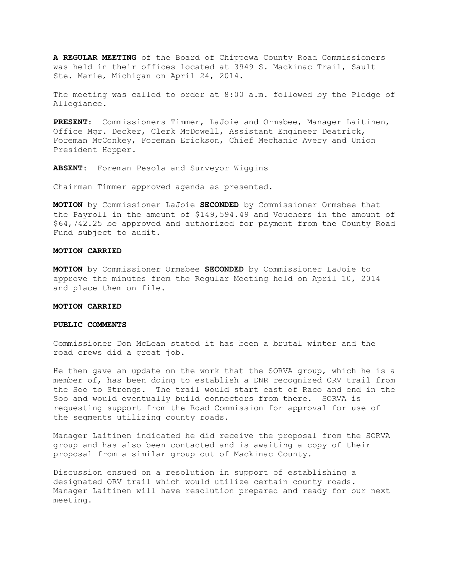**A REGULAR MEETING** of the Board of Chippewa County Road Commissioners was held in their offices located at 3949 S. Mackinac Trail, Sault Ste. Marie, Michigan on April 24, 2014.

The meeting was called to order at 8:00 a.m. followed by the Pledge of Allegiance.

**PRESENT**: Commissioners Timmer, LaJoie and Ormsbee, Manager Laitinen, Office Mgr. Decker, Clerk McDowell, Assistant Engineer Deatrick, Foreman McConkey, Foreman Erickson, Chief Mechanic Avery and Union President Hopper.

**ABSENT:** Foreman Pesola and Surveyor Wiggins

Chairman Timmer approved agenda as presented.

**MOTION** by Commissioner LaJoie **SECONDED** by Commissioner Ormsbee that the Payroll in the amount of \$149,594.49 and Vouchers in the amount of \$64,742.25 be approved and authorized for payment from the County Road Fund subject to audit.

## **MOTION CARRIED**

**MOTION** by Commissioner Ormsbee **SECONDED** by Commissioner LaJoie to approve the minutes from the Regular Meeting held on April 10, 2014 and place them on file.

### **MOTION CARRIED**

### **PUBLIC COMMENTS**

Commissioner Don McLean stated it has been a brutal winter and the road crews did a great job.

He then gave an update on the work that the SORVA group, which he is a member of, has been doing to establish a DNR recognized ORV trail from the Soo to Strongs. The trail would start east of Raco and end in the Soo and would eventually build connectors from there. SORVA is requesting support from the Road Commission for approval for use of the segments utilizing county roads.

Manager Laitinen indicated he did receive the proposal from the SORVA group and has also been contacted and is awaiting a copy of their proposal from a similar group out of Mackinac County.

Discussion ensued on a resolution in support of establishing a designated ORV trail which would utilize certain county roads. Manager Laitinen will have resolution prepared and ready for our next meeting.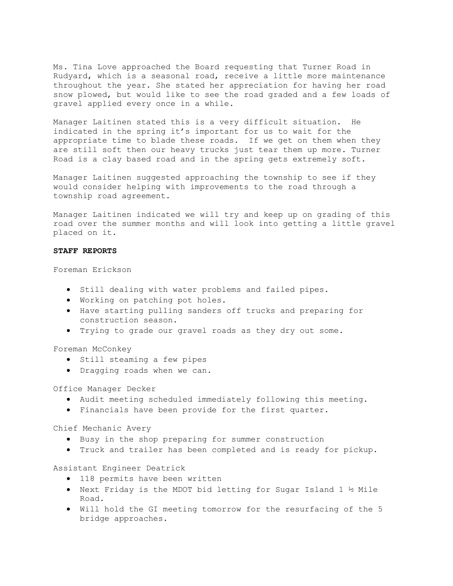Ms. Tina Love approached the Board requesting that Turner Road in Rudyard, which is a seasonal road, receive a little more maintenance throughout the year. She stated her appreciation for having her road snow plowed, but would like to see the road graded and a few loads of gravel applied every once in a while.

Manager Laitinen stated this is a very difficult situation. He indicated in the spring it's important for us to wait for the appropriate time to blade these roads. If we get on them when they are still soft then our heavy trucks just tear them up more. Turner Road is a clay based road and in the spring gets extremely soft.

Manager Laitinen suggested approaching the township to see if they would consider helping with improvements to the road through a township road agreement.

Manager Laitinen indicated we will try and keep up on grading of this road over the summer months and will look into getting a little gravel placed on it.

# **STAFF REPORTS**

Foreman Erickson

- · Still dealing with water problems and failed pipes.
- · Working on patching pot holes.
- · Have starting pulling sanders off trucks and preparing for construction season.
- · Trying to grade our gravel roads as they dry out some.

Foreman McConkey

- · Still steaming a few pipes
- · Dragging roads when we can.

Office Manager Decker

- · Audit meeting scheduled immediately following this meeting.
- · Financials have been provide for the first quarter.

Chief Mechanic Avery

- · Busy in the shop preparing for summer construction
- · Truck and trailer has been completed and is ready for pickup.

Assistant Engineer Deatrick

- · 118 permits have been written
- · Next Friday is the MDOT bid letting for Sugar Island 1 ½ Mile Road.
- · Will hold the GI meeting tomorrow for the resurfacing of the 5 bridge approaches.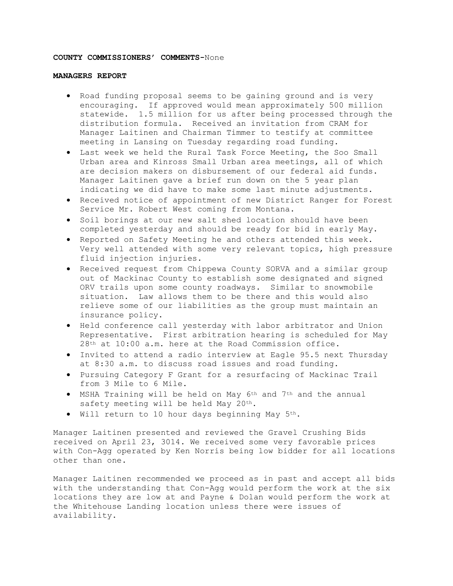# **COUNTY COMMISSIONERS' COMMENTS-**None

## **MANAGERS REPORT**

- · Road funding proposal seems to be gaining ground and is very encouraging. If approved would mean approximately 500 million statewide. 1.5 million for us after being processed through the distribution formula. Received an invitation from CRAM for Manager Laitinen and Chairman Timmer to testify at committee meeting in Lansing on Tuesday regarding road funding.
- · Last week we held the Rural Task Force Meeting, the Soo Small Urban area and Kinross Small Urban area meetings, all of which are decision makers on disbursement of our federal aid funds. Manager Laitinen gave a brief run down on the 5 year plan indicating we did have to make some last minute adjustments.
- · Received notice of appointment of new District Ranger for Forest Service Mr. Robert West coming from Montana.
- · Soil borings at our new salt shed location should have been completed yesterday and should be ready for bid in early May.
- · Reported on Safety Meeting he and others attended this week. Very well attended with some very relevant topics, high pressure fluid injection injuries.
- · Received request from Chippewa County SORVA and a similar group out of Mackinac County to establish some designated and signed ORV trails upon some county roadways. Similar to snowmobile situation. Law allows them to be there and this would also relieve some of our liabilities as the group must maintain an insurance policy.
- · Held conference call yesterday with labor arbitrator and Union Representative. First arbitration hearing is scheduled for May 28th at 10:00 a.m. here at the Road Commission office.
- · Invited to attend a radio interview at Eagle 95.5 next Thursday at 8:30 a.m. to discuss road issues and road funding.
- · Pursuing Category F Grant for a resurfacing of Mackinac Trail from 3 Mile to 6 Mile.
- · MSHA Training will be held on May 6th and 7th and the annual safety meeting will be held May 20th.
- · Will return to 10 hour days beginning May 5th.

Manager Laitinen presented and reviewed the Gravel Crushing Bids received on April 23, 3014. We received some very favorable prices with Con-Agg operated by Ken Norris being low bidder for all locations other than one.

Manager Laitinen recommended we proceed as in past and accept all bids with the understanding that Con-Agg would perform the work at the six locations they are low at and Payne & Dolan would perform the work at the Whitehouse Landing location unless there were issues of availability.